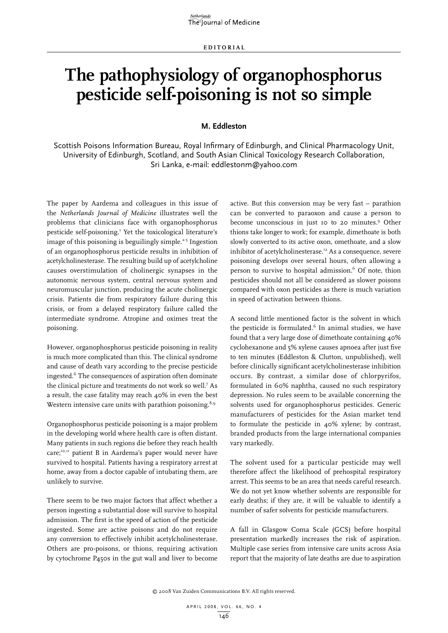# **The pathophysiology of organophosphorus pesticide self-poisoning is not so simple**

# **M. Eddleston**

Scottish Poisons Information Bureau, Royal Infirmary of Edinburgh, and Clinical Pharmacology Unit, University of Edinburgh, Scotland, and South Asian Clinical Toxicology Research Collaboration, Sri Lanka, e-mail: eddlestonm@yahoo.com

The paper by Aardema and colleagues in this issue of the *Netherlands Journal of Medicine* illustrates well the problems that clinicians face with organophosphorus pesticide self-poisoning.<sup>1</sup> Yet the toxicological literature's image of this poisoning is beguilingly simple.<sup>2-5</sup> Ingestion of an organophosphorus pesticide results in inhibition of acetylcholinesterase. The resulting build up of acetylcholine causes overstimulation of cholinergic synapses in the autonomic nervous system, central nervous system and neuromuscular junction, producing the acute cholinergic crisis. Patients die from respiratory failure during this crisis, or from a delayed respiratory failure called the intermediate syndrome. Atropine and oximes treat the poisoning.

However, organophosphorus pesticide poisoning in reality is much more complicated than this. The clinical syndrome and cause of death vary according to the precise pesticide ingested.6 The consequences of aspiration often dominate the clinical picture and treatments do not work so well.7 As a result, the case fatality may reach 40% in even the best Western intensive care units with parathion poisoning. $8,9$ 

Organophosphorus pesticide poisoning is a major problem in the developing world where health care is often distant. Many patients in such regions die before they reach health care;<sup>10,11</sup> patient B in Aardema's paper would never have survived to hospital. Patients having a respiratory arrest at home, away from a doctor capable of intubating them, are unlikely to survive.

There seem to be two major factors that affect whether a person ingesting a substantial dose will survive to hospital admission. The first is the speed of action of the pesticide ingested. Some are active poisons and do not require any conversion to effectively inhibit acetylcholinesterase. Others are pro-poisons, or thions, requiring activation by cytochrome P450s in the gut wall and liver to become

active. But this conversion may be very fast – parathion can be converted to paraoxon and cause a person to become unconscious in just 10 to 20 minutes.<sup>9</sup> Other thions take longer to work; for example, dimethoate is both slowly converted to its active oxon, omethoate, and a slow inhibitor of acetylcholinesterase.<sup>12</sup> As a consequence, severe poisoning develops over several hours, often allowing a person to survive to hospital admission.<sup>6</sup> Of note, thion pesticides should not all be considered as slower poisons compared with oxon pesticides as there is much variation in speed of activation between thions.

A second little mentioned factor is the solvent in which the pesticide is formulated.<sup>6</sup> In animal studies, we have found that a very large dose of dimethoate containing 40% cyclohexanone and 5% xylene causes apnoea after just five to ten minutes (Eddleston & Clutton, unpublished), well before clinically significant acetylcholinesterase inhibition occurs. By contrast, a similar dose of chlorpyrifos, formulated in 60% naphtha, caused no such respiratory depression. No rules seem to be available concerning the solvents used for organophosphorus pesticides. Generic manufacturers of pesticides for the Asian market tend to formulate the pesticide in 40% xylene; by contrast, branded products from the large international companies vary markedly.

The solvent used for a particular pesticide may well therefore affect the likelihood of prehospital respiratory arrest. This seems to be an area that needs careful research. We do not yet know whether solvents are responsible for early deaths; if they are, it will be valuable to identify a number of safer solvents for pesticide manufacturers.

A fall in Glasgow Coma Scale (GCS) before hospital presentation markedly increases the risk of aspiration. Multiple case series from intensive care units across Asia report that the majority of late deaths are due to aspiration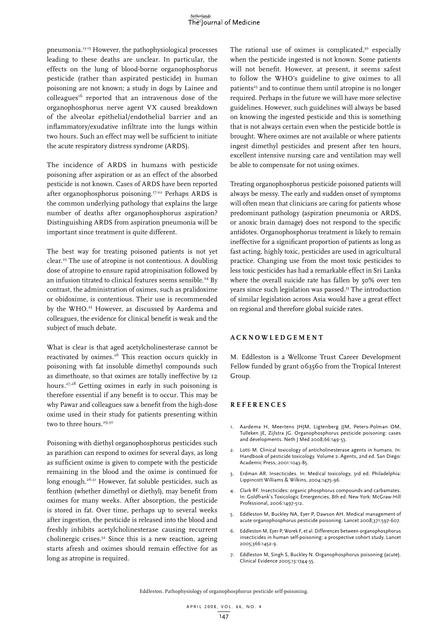#### Netherlands The Journal of Medicine

pneumonia.13-15 However, the pathophysiological processes leading to these deaths are unclear. In particular, the effects on the lung of blood-borne organophosphorus pesticide (rather than aspirated pesticide) in human poisoning are not known; a study in dogs by Lainee and  $colleagues<sup>16</sup>$  reported that an intravenous dose of the organophosphorus nerve agent VX caused breakdown of the alveolar epithelial/endothelial barrier and an inflammatory/exudative infiltrate into the lungs within two hours. Such an effect may well be sufficient to initiate the acute respiratory distress syndrome (ARDS).

The incidence of ARDS in humans with pesticide poisoning after aspiration or as an effect of the absorbed pesticide is not known. Cases of ARDS have been reported after organophosphorus poisoning.<sup>17-22</sup> Perhaps ARDS is the common underlying pathology that explains the large number of deaths after organophosphorus aspiration? Distinguishing ARDS from aspiration pneumonia will be important since treatment is quite different.

The best way for treating poisoned patients is not yet clear.23 The use of atropine is not contentious. A doubling dose of atropine to ensure rapid atropinisation followed by an infusion titrated to clinical features seems sensible.<sup>24</sup> By contrast, the administration of oximes, such as pralidoxime or obidoxime, is contentious. Their use is recommended by the WHO.<sup>25</sup> However, as discussed by Aardema and colleagues, the evidence for clinical benefit is weak and the subject of much debate.

What is clear is that aged acetylcholinesterase cannot be reactivated by oximes.<sup>26</sup> This reaction occurs quickly in poisoning with fat insoluble dimethyl compounds such as dimethoate, so that oximes are totally ineffective by 12 hours.27,28 Getting oximes in early in such poisoning is therefore essential if any benefit is to occur. This may be why Pawar and colleagues saw a benefit from the high-dose oxime used in their study for patients presenting within two to three hours.<sup>29,30</sup>

Poisoning with diethyl organophosphorus pesticides such as parathion can respond to oximes for several days, as long as sufficient oxime is given to compete with the pesticide remaining in the blood and the oxime is continued for long enough.<sup>26,31</sup> However, fat soluble pesticides, such as fenthion (whether dimethyl or diethyl), may benefit from oximes for many weeks. After absorption, the pesticide is stored in fat. Over time, perhaps up to several weeks after ingestion, the pesticide is released into the blood and freshly inhibits acetylcholinesterase causing recurrent cholinergic crises. $32$  Since this is a new reaction, ageing starts afresh and oximes should remain effective for as long as atropine is required.

The rational use of oximes is complicated, $3^\circ$  especially when the pesticide ingested is not known. Some patients will not benefit. However, at present, it seems safest to follow the WHO's guideline to give oximes to all patients<sup>25</sup> and to continue them until atropine is no longer required. Perhaps in the future we will have more selective guidelines. However, such guidelines will always be based on knowing the ingested pesticide and this is something that is not always certain even when the pesticide bottle is brought. Where oximes are not available or where patients ingest dimethyl pesticides and present after ten hours, excellent intensive nursing care and ventilation may well be able to compensate for not using oximes.

Treating organophosphorus pesticide poisoned patients will always be messy. The early and sudden onset of symptoms will often mean that clinicians are caring for patients whose predominant pathology (aspiration pneumonia or ARDS, or anoxic brain damage) does not respond to the specific antidotes. Organophosphorus treatment is likely to remain ineffective for a significant proportion of patients as long as fast acting, highly toxic, pesticides are used in agricultural practice. Changing use from the most toxic pesticides to less toxic pesticides has had a remarkable effect in Sri Lanka where the overall suicide rate has fallen by 50% over ten years since such legislation was passed.<sup>33</sup> The introduction of similar legislation across Asia would have a great effect on regional and therefore global suicide rates.

## **A c k n o w l e d gement**

M. Eddleston is a Wellcome Trust Career Development Fellow funded by grant 063560 from the Tropical Interest Group.

## **Re f e r ence s**

- 1. Aardema H, Meertens JHJM, Ligtenberg JJM, Peters-Polman OM, Tulleken JE, Zijlstra JG. Organophosphorus pesticide poisoning: cases and developments. Neth J Med 2008;66:149-53.
- 2. Lotti M. Clinical toxicology of anticholinesterase agents in humans. In: Handbook of pesticide toxicology. Volume 2. Agents, 2nd ed. San Diego: Academic Press, 2001:1043-85.
- 3. Erdman AR. Insecticides. In: Medical toxicology, 3rd ed. Philadelphia: Lippincott Williams & Wilkins, 2004:1475-96.
- 4. Clark RF. Insecticides: organic phosphorus compounds and carbamates. In: Goldfrank's Toxicologic Emergencies, 8th ed. New York: McGraw-Hill Professional, 2006:1497-512.
- 5. Eddleston M, Buckley NA, Eyer P, Dawson AH. Medical management of acute organophosphorus pesticide poisoning. Lancet 2008;371:597-607.
- 6. Eddleston M, Eyer P, Worek F, et al. Differences between organophosphorus insecticides in human self-poisoning: a prospective cohort study. Lancet 2005;366:1452-9.
- 7. Eddleston M, Singh S, Buckley N. Organophosphorus poisoning (acute). Clinical Evidence 2005;13:1744-55.

Eddleston. Pathophysiology of organophosphorus pesticide self-poisoning.